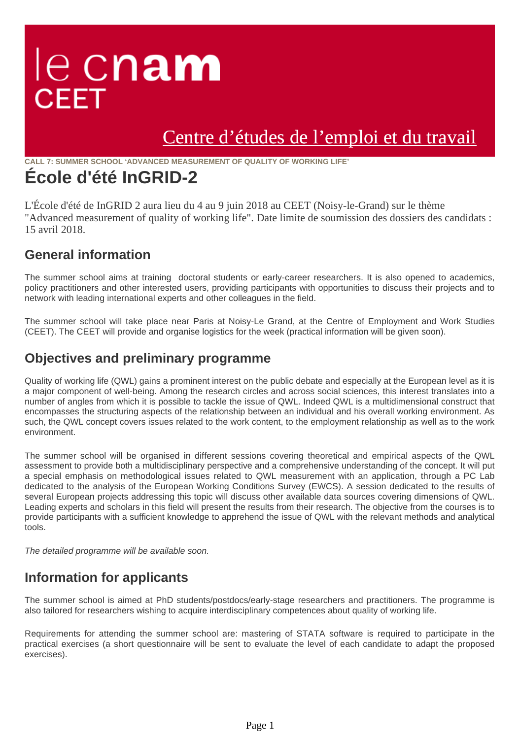## le cnam **CEET**

## [Centre d'études de l'emploi et du travail](https://ceet.cnam.fr/)

**CALL 7: SUMMER SCHOOL 'ADVANCED MEASUREMENT OF QUALITY OF WORKING LIFE'**

### **École d'été InGRID-2**

L'École d'été de InGRID 2 aura lieu du 4 au 9 juin 2018 au CEET (Noisy-le-Grand) sur le thème "Advanced measurement of quality of working life". Date limite de soumission des dossiers des candidats : 15 avril 2018.

#### **General information**

The summer school aims at training doctoral students or early-career researchers. It is also opened to academics, policy practitioners and other interested users, providing participants with opportunities to discuss their projects and to network with leading international experts and other colleagues in the field.

The summer school will take place near Paris at Noisy-Le Grand, at the Centre of Employment and Work Studies (CEET). The CEET will provide and organise logistics for the week (practical information will be given soon).

#### **Objectives and preliminary programme**

Quality of working life (QWL) gains a prominent interest on the public debate and especially at the European level as it is a major component of well-being. Among the research circles and across social sciences, this interest translates into a number of angles from which it is possible to tackle the issue of QWL. Indeed QWL is a multidimensional construct that encompasses the structuring aspects of the relationship between an individual and his overall working environment. As such, the QWL concept covers issues related to the work content, to the employment relationship as well as to the work environment.

The summer school will be organised in different sessions covering theoretical and empirical aspects of the QWL assessment to provide both a multidisciplinary perspective and a comprehensive understanding of the concept. It will put a special emphasis on methodological issues related to QWL measurement with an application, through a PC Lab dedicated to the analysis of the European Working Conditions Survey (EWCS). A session dedicated to the results of several European projects addressing this topic will discuss other available data sources covering dimensions of QWL. Leading experts and scholars in this field will present the results from their research. The objective from the courses is to provide participants with a sufficient knowledge to apprehend the issue of QWL with the relevant methods and analytical tools.

The detailed programme will be available soon.

#### **Information for applicants**

The summer school is aimed at PhD students/postdocs/early-stage researchers and practitioners. The programme is also tailored for researchers wishing to acquire interdisciplinary competences about quality of working life.

Requirements for attending the summer school are: mastering of STATA software is required to participate in the practical exercises (a short questionnaire will be sent to evaluate the level of each candidate to adapt the proposed exercises).